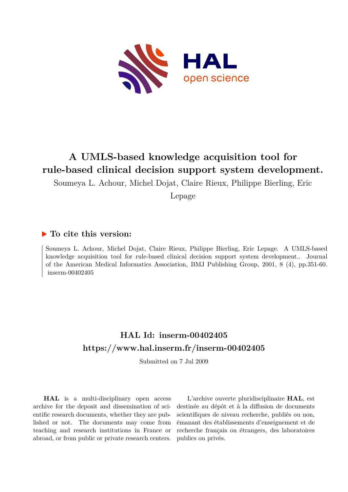

# **A UMLS-based knowledge acquisition tool for rule-based clinical decision support system development.**

Soumeya L. Achour, Michel Dojat, Claire Rieux, Philippe Bierling, Eric

Lepage

# **To cite this version:**

Soumeya L. Achour, Michel Dojat, Claire Rieux, Philippe Bierling, Eric Lepage. A UMLS-based knowledge acquisition tool for rule-based clinical decision support system development.. Journal of the American Medical Informatics Association, BMJ Publishing Group, 2001, 8 (4), pp.351-60.  $inserm-00402405$ 

# **HAL Id: inserm-00402405 <https://www.hal.inserm.fr/inserm-00402405>**

Submitted on 7 Jul 2009

**HAL** is a multi-disciplinary open access archive for the deposit and dissemination of scientific research documents, whether they are published or not. The documents may come from teaching and research institutions in France or abroad, or from public or private research centers.

L'archive ouverte pluridisciplinaire **HAL**, est destinée au dépôt et à la diffusion de documents scientifiques de niveau recherche, publiés ou non, émanant des établissements d'enseignement et de recherche français ou étrangers, des laboratoires publics ou privés.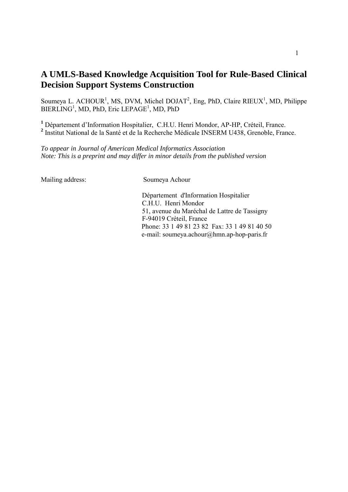# **A UMLS-Based Knowledge Acquisition Tool for Rule-Based Clinical Decision Support Systems Construction**

Soumeya L. ACHOUR<sup>1</sup>, MS, DVM, Michel DOJAT<sup>2</sup>, Eng, PhD, Claire RIEUX<sup>1</sup>, MD, Philippe  $BIERLING<sup>1</sup>$ , MD, PhD, Eric LEPAGE<sup>1</sup>, MD, PhD

<sup>1</sup> Département d'Information Hospitalier, C.H.U. Henri Mondor, AP-HP, Créteil, France. <sup>2</sup> Institut National de la Santé et de la Recherche Médicale INSERM U438, Grenoble, France.

*To appear in Journal of American Medical Informatics Association Note: This is a preprint and may differ in minor details from the published version*

Mailing address: Soumeya Achour

DÈpartement d'Information Hospitalier C.H.U. Henri Mondor 51, avenue du Maréchal de Lattre de Tassigny F-94019 Créteil, France Phone: 33 1 49 81 23 82 Fax: 33 1 49 81 40 50 e-mail: soumeya.achour@hmn.ap-hop-paris.fr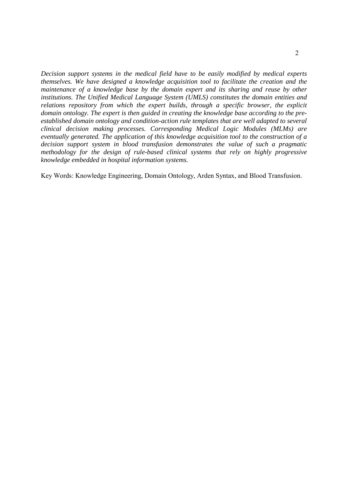*Decision support systems in the medical field have to be easily modified by medical experts themselves. We have designed a knowledge acquisition tool to facilitate the creation and the maintenance of a knowledge base by the domain expert and its sharing and reuse by other institutions. The Unified Medical Language System (UMLS) constitutes the domain entities and relations repository from which the expert builds, through a specific browser, the explicit domain ontology. The expert is then guided in creating the knowledge base according to the preestablished domain ontology and condition-action rule templates that are well adapted to several clinical decision making processes. Corresponding Medical Logic Modules (MLMs) are eventually generated. The application of this knowledge acquisition tool to the construction of a decision support system in blood transfusion demonstrates the value of such a pragmatic methodology for the design of rule-based clinical systems that rely on highly progressive knowledge embedded in hospital information systems.* 

Key Words: Knowledge Engineering, Domain Ontology, Arden Syntax, and Blood Transfusion.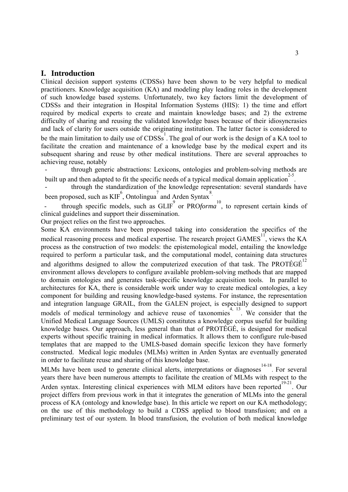### **I. Introduction**

Clinical decision support systems (CDSSs) have been shown to be very helpful to medical practitioners. Knowledge acquisition (KA) and modeling play leading roles in the development of such knowledge based systems. Unfortunately, two key factors limit the development of CDSSs and their integration in Hospital Information Systems (HIS): 1) the time and effort required by medical experts to create and maintain knowledge bases; and 2) the extreme difficulty of sharing and reusing the validated knowledge bases because of their idiosyncrasies and lack of clarity for users outside the originating institution. The latter factor is considered to be the main limitation to daily use of  $\overline{C}$ DSSs<sup>1</sup>. The goal of our work is the design of a KA tool to facilitate the creation and maintenance of a knowledge base by the medical expert and its subsequent sharing and reuse by other medical institutions. There are several approaches to achieving reuse, notably

- through generic abstractions: Lexicons, ontologies and problem-solving methods are built up and then adapted to fit the specific needs of a typical medical domain application<sup>2-5</sup>.

through the standardization of the knowledge representation: several standards have been proposed, such as  $KIF^6$ , Ontolingua<sup>7</sup> and Arden Syntax<sup>8</sup>.

- through specific models, such as GLIF<sup>9</sup> or PRO*forma*<sup>10</sup>, to represent certain kinds of clinical guidelines and support their dissemination.

Our project relies on the first two approaches.

Some KA environments have been proposed taking into consideration the specifics of the medical reasoning process and medical expertise. The research project GAMES<sup> $11$ </sup>, views the KA process as the construction of two models: the epistemological model, entailing the knowledge required to perform a particular task, and the computational model, containing data structures and algorithms designed to allow the computerized execution of that task. The PROTÉGÉ $^{12}$ environment allows developers to configure available problem-solving methods that are mapped to domain ontologies and generates task-specific knowledge acquisition tools. In parallel to architectures for KA, there is considerable work under way to create medical ontologies, a key component for building and reusing knowledge-based systems. For instance, the representation and integration language GRAIL, from the GALEN project, is especially designed to support models of medical terminology and achieve reuse of taxonomies<sup>4, 13</sup>. We consider that the Unified Medical Language Sources (UMLS) constitutes a knowledge corpus useful for building knowledge bases. Our approach, less general than that of PROTÉGÉ, is designed for medical experts without specific training in medical informatics. It allows them to configure rule-based templates that are mapped to the UMLS-based domain specific lexicon they have formerly constructed. Medical logic modules (MLMs) written in Arden Syntax are eventually generated in order to facilitate reuse and sharing of this knowledge base.

MLMs have been used to generate clinical alerts, interpretations or diagnoses<sup>14-18</sup>. For several years there have been numerous attempts to facilitate the creation of MLMs with respect to the Arden syntax. Interesting clinical experiences with MLM editors have been reported<sup>19-21</sup>. Our project differs from previous work in that it integrates the generation of MLMs into the general process of KA (ontology and knowledge base). In this article we report on our KA methodology; on the use of this methodology to build a CDSS applied to blood transfusion; and on a preliminary test of our system. In blood transfusion, the evolution of both medical knowledge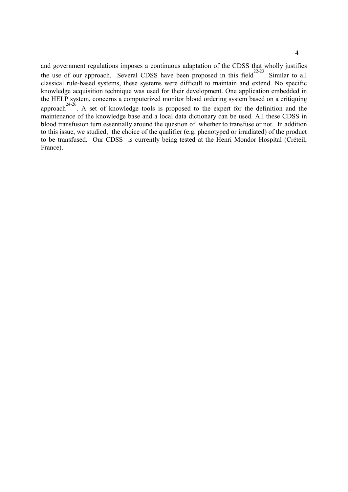and government regulations imposes a continuous adaptation of the CDSS that wholly justifies the use of our approach. Several CDSS have been proposed in this field $^{22-23}$ . Similar to all classical rule-based systems, these systems were difficult to maintain and extend. No specific knowledge acquisition technique was used for their development. One application embedded in the HELP system, concerns a computerized monitor blood ordering system based on a critiquing approach<sup>24-26</sup>. A set of knowledge tools is proposed to the expert for the definition and the maintenance of the knowledge base and a local data dictionary can be used. All these CDSS in blood transfusion turn essentially around the question of whether to transfuse or not. In addition to this issue, we studied, the choice of the qualifier (e.g. phenotyped or irradiated) of the product to be transfused. Our CDSS is currently being tested at the Henri Mondor Hospital (Créteil, France).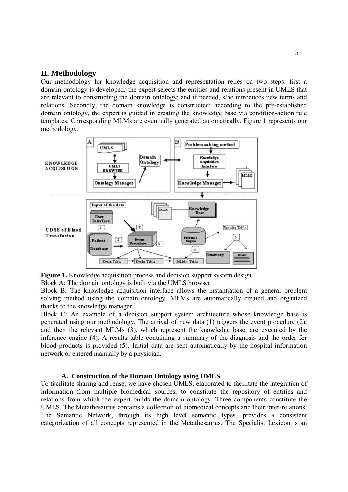## **II. Methodology**

Our methodology for knowledge acquisition and representation relies on two steps: first a domain ontology is developed*:* the expert selects the entities and relations present in UMLS that are relevant to constructing the domain ontology; and if needed, s/he introduces new terms and relations. Secondly, the domain knowledge is constructed: according to the pre-established domain ontology, the expert is guided in creating the knowledge base via condition-action rule templates. Corresponding MLMs are eventually generated automatically. Figure 1 represents our methodology.



**Figure 1.** Knowledge acquisition process and decision support system design. Block A: The domain ontology is built via the UMLS browser.

Block B: The knowledge acquisition interface allows the instantiation of a general problem solving method using the domain ontology. MLMs are automatically created and organized thanks to the knowledge manager.

Block C: An example of a decision support system architecture whose knowledge base is generated using our methodology. The arrival of new data (1) triggers the event procedure (2), and then the relevant MLMs (3), which represent the knowledge base, are executed by the inference engine (4). A results table containing a summary of the diagnosis and the order for blood products is provided (5). Initial data are sent automatically by the hospital information network or entered manually by a physician.

#### **A. Construction of the Domain Ontology using UMLS**

To facilitate sharing and reuse, we have chosen UMLS, elaborated to facilitate the integration of information from multiple biomedical sources, to constitute the repository of entities and relations from which the expert builds the domain ontology. Three components constitute the UMLS. The Metathesaurus contains a collection of biomedical concepts and their inter-relations. The Semantic Network, through its high level semantic types, provides a consistent categorization of all concepts represented in the Metathesaurus. The Specialist Lexicon is an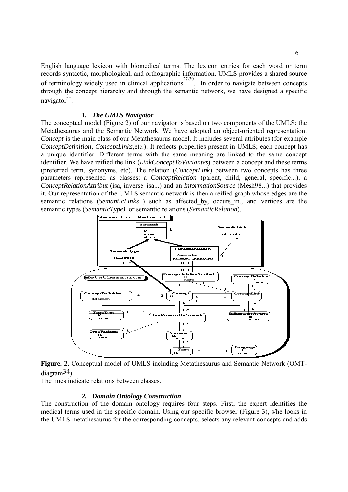English language lexicon with biomedical terms. The lexicon entries for each word or term records syntactic, morphological, and orthographic information. UMLS provides a shared source of terminology widely used in clinical applications 27-30 . In order to navigate between concepts through the concept hierarchy and through the semantic network, we have designed a specific navigator 31 .

#### *1. The UMLS Navigator*

The conceptual model (Figure 2) of our navigator is based on two components of the UMLS: the Metathesaurus and the Semantic Network. We have adopted an object-oriented representation. *Concept* is the main class of our Metathesaurus model. It includes several attributes (for example *ConceptDefinition*, *ConceptLinks,*etc.). It reflects properties present in UMLS; each concept has a unique identifier. Different terms with the same meaning are linked to the same concept identifier. We have reified the link (*LinkConceptToVariantes*) between a concept and these terms (preferred term, synonyms, etc). The relation (*ConceptLink*) between two concepts has three parameters represented as classes: a *ConceptRelation* (parent, child, general, specific...), a *ConceptRelationAttribut* (isa, inverse\_isa...) and an *InformationSource* (Mesh98...) that provides it. Our representation of the UMLS semantic network is then a reified graph whose edges are the semantic relations (*SemanticLinks* ) such as affected\_by, occurs\_in*.,* and vertices are the semantic types (*SemanticType)* or semantic relations (*SemanticRelation*).



**Figure. 2.** Conceptual model of UMLS including Metathesaurus and Semantic Network (OMTdiagram34).

The lines indicate relations between classes.

#### *2. Domain Ontology Construction*

The construction of the domain ontology requires four steps. First, the expert identifies the medical terms used in the specific domain. Using our specific browser (Figure 3), s/he looks in the UMLS metathesaurus for the corresponding concepts, selects any relevant concepts and adds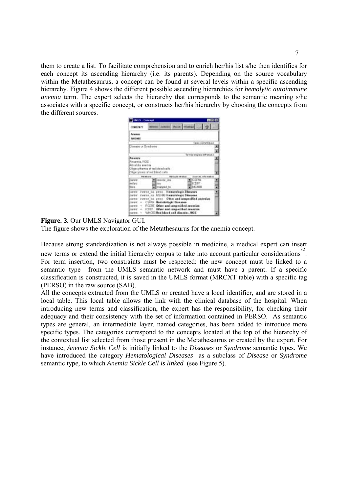them to create a list. To facilitate comprehension and to enrich her/his list s/he then identifies for each concept its ascending hierarchy (i.e. its parents). Depending on the source vocabulary within the Metathesaurus, a concept can be found at several levels within a specific ascending hierarchy. Figure 4 shows the different possible ascending hierarchies for *hemolytic autoimmune anemia* term. The expert selects the hierarchy that corresponds to the semantic meaning s/he associates with a specific concept, or constructs her/his hierarchy by choosing the concepts from the different sources.

| <b>Explored - Executed</b>                                       |                    |                           |                        |                                               |                          |   |  |
|------------------------------------------------------------------|--------------------|---------------------------|------------------------|-----------------------------------------------|--------------------------|---|--|
| <b>COROL/871</b>                                                 |                    |                           | <b>Solomne Diction</b> |                                               |                          |   |  |
| Angels<br><b>AREEMEE</b>                                         |                    |                           |                        |                                               |                          |   |  |
|                                                                  |                    |                           |                        |                                               | guas skinartijs en       |   |  |
| Disease or Dyteborne                                             |                    |                           |                        |                                               |                          | ï |  |
|                                                                  |                    |                           |                        |                                               | lemer anger et trace e   |   |  |
| Anumix<br>Ansenia. NOS<br>Absolute anemia                        |                    |                           |                        |                                               |                          |   |  |
| Olgecythemia at red blood calls<br>Olympytown of red blend calls |                    |                           |                        |                                               |                          | ٠ |  |
|                                                                  | <b>Retail</b> proj |                           | <b>HE-SIAL HES</b>     |                                               | Former Artificate models |   |  |
| parent.<br><b>Jeatherd</b>                                       | <b>HA</b>          | <b>Bill</b> drunetal isla |                        | <b>The Street</b>                             |                          | ٠ |  |
| Si lavan                                                         |                    | all manped fall           |                        | <b>SINGHOU</b>                                |                          | ۰ |  |
| panic iverse its pero. Hometalogic Diseases                      |                    |                           |                        |                                               |                          | ٠ |  |
| parent inverse iss 145160 Hematologic Steepess                   |                    |                           |                        |                                               |                          |   |  |
| parent memory in perso. Other and unspecified memor              |                    |                           |                        |                                               |                          |   |  |
| parent - CSPUI Hematologic Diseases                              |                    |                           |                        |                                               |                          |   |  |
| sweet.                                                           |                    |                           |                        | - RCDR Other and range cified aminities       |                          |   |  |
| pant - ICDS7 Other and unspecified member                        |                    |                           |                        |                                               |                          |   |  |
|                                                                  |                    |                           |                        | carent - WINCED Red blood call disentes, NOS. |                          |   |  |

**Figure. 3.** Our UMLS Navigator GUI.

The figure shows the exploration of the Metathesaurus for the anemia concept.

Because strong standardization is not always possible in medicine, a medical expert can insert new terms or extend the initial hierarchy corpus to take into account particular considerations<sup>32</sup>. For term insertion, two constraints must be respected: the new concept must be linked to a semantic type from the UMLS semantic network and must have a parent. If a specific classification is constructed, it is saved in the UMLS format (MRCXT table) with a specific tag (PERSO) in the raw source (SAB).

All the concepts extracted from the UMLS or created have a local identifier, and are stored in a local table. This local table allows the link with the clinical database of the hospital. When introducing new terms and classification, the expert has the responsibility, for checking their adequacy and their consistency with the set of information contained in PERSO. As semantic types are general, an intermediate layer, named categories, has been added to introduce more specific types. The categories correspond to the concepts located at the top of the hierarchy of the contextual list selected from those present in the Metathesaurus or created by the expert. For instance, *Anemia Sickle Cell* is initially linked to the *Diseases* or *Syndrome* semantic types. We have introduced the category *Hematological Diseases* as a subclass of *Disease* or *Syndrome* semantic type, to which *Anemia Sickle Cell is linked* (see Figure 5).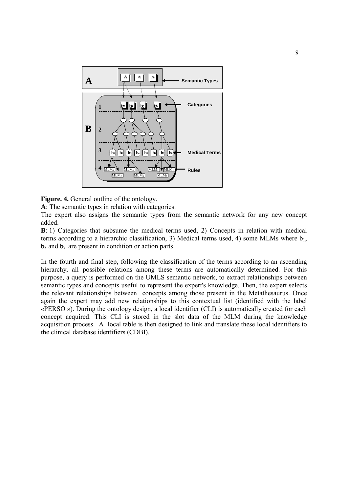

**Figure. 4.** General outline of the ontology.

**A**: The semantic types in relation with categories.

The expert also assigns the semantic types from the semantic network for any new concept added.

**B**: 1) Categories that subsume the medical terms used, 2) Concepts in relation with medical terms according to a hierarchic classification, 3) Medical terms used, 4) some MLMs where  $b_1$ ,  $b_3$  and  $b_7$  are present in condition or action parts.

In the fourth and final step, following the classification of the terms according to an ascending hierarchy, all possible relations among these terms are automatically determined. For this purpose, a query is performed on the UMLS semantic network, to extract relationships between semantic types and concepts useful to represent the expert's knowledge. Then, the expert selects the relevant relationships between concepts among those present in the Metathesaurus. Once again the expert may add new relationships to this contextual list (identified with the label ´PERSO ª). During the ontology design, a local identifier (CLI) is automatically created for each concept acquired. This CLI is stored in the slot data of the MLM during the knowledge acquisition process. A local table is then designed to link and translate these local identifiers to the clinical database identifiers (CDBI).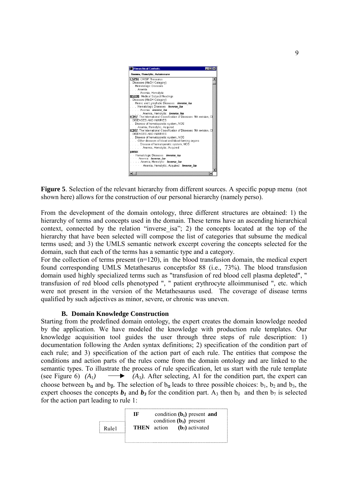

**Figure 5**. Selection of the relevant hierarchy from different sources. A specific popup menu (not shown here) allows for the construction of our personal hierarchy (namely perso).

From the development of the domain ontology, three different structures are obtained: 1) the hierarchy of terms and concepts used in the domain. These terms have an ascending hierarchical context, connected by the relation "inverse isa"; 2) the concepts located at the top of the hierarchy that have been selected will compose the list of categories that subsume the medical terms used; and 3) the UMLS semantic network excerpt covering the concepts selected for the domain, such that each of the terms has a semantic type and a category.

For the collection of terms present (n=120), in the blood transfusion domain, the medical expert found corresponding UMLS Metathesarus conceptsfor 88 (i.e., 73%). The blood transfusion domain used highly specialized terms such as "transfusion of red blood cell plasma depleted", " transfusion of red blood cells phenotyped ", " patient erythrocyte alloimmunised ", etc. which were not present in the version of the Metathesaurus used. The coverage of disease terms qualified by such adjectives as minor, severe, or chronic was uneven.

#### **B. Domain Knowledge Construction**

Starting from the predefined domain ontology, the expert creates the domain knowledge needed by the application. We have modeled the knowledge with production rule templates. Our knowledge acquisition tool guides the user through three steps of rule description: 1) documentation following the Arden syntax definitions; 2) specification of the condition part of each rule; and 3) specification of the action part of each rule. The entities that compose the conditions and action parts of the rules come from the domain ontology and are linked to the semantic types. To illustrate the process of rule specification, let us start with the rule template (see Figure 6)  $(A_1) \longrightarrow (A_3)$ . After selecting, A1 for the condition part, the expert can choose between  $b_{\alpha}$  and  $b_{\beta}$ . The selection of  $b_{\alpha}$  leads to three possible choices:  $b_1$ ,  $b_2$  and  $b_3$ , the expert chooses the concepts  $b_1$  and  $b_3$  for the condition part. A<sub>3</sub> then  $b_6$  and then  $b_7$  is selected for the action part leading to rule 1:

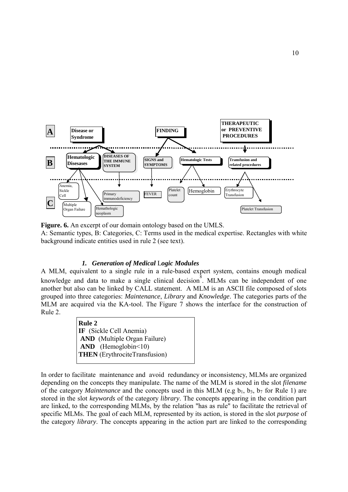

**Figure. 6.** An excerpt of our domain ontology based on the UMLS. A: Semantic types, B: Categories, C: Terms used in the medical expertise. Rectangles with white background indicate entities used in rule 2 (see text).

#### *1. Generation of Medical* L*ogic Modules*

A MLM, equivalent to a single rule in a rule-based expert system, contains enough medical knowledge and data to make a single clinical decision<sup>8</sup>. MLMs can be independent of one another but also can be linked by CALL statement. A MLM is an ASCII file composed of slots grouped into three categories: *Maintenance*, *Library* and *Knowledge*. The categories parts of the MLM are acquired via the KA-tool. The Figure 7 shows the interface for the construction of Rule 2.

> **Rule 2 IF** (Sickle Cell Anemia) **AND** (Multiple Organ Failure) AND (Hemoglobin<10) **THEN** (ErythrociteTransfusion)

In order to facilitate maintenance and avoid redundancy or inconsistency, MLMs are organized depending on the concepts they manipulate. The name of the MLM is stored in the slot *filename* of the category *Maintenance* and the concepts used in this MLM (e.g  $b_1$ ,  $b_3$ ,  $b_7$  for Rule 1) are stored in the slot *keywords* of the category *library*. The concepts appearing in the condition part are linked, to the corresponding MLMs, by the relation "has as rule" to facilitate the retrieval of specific MLMs. The goal of each MLM, represented by its action, is stored in the slot *purpose* of the category *library*. The concepts appearing in the action part are linked to the corresponding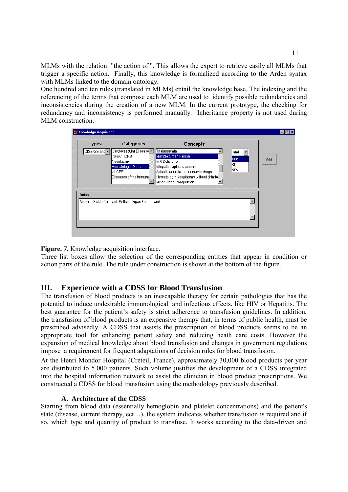MLMs with the relation: "the action of ". This allows the expert to retrieve easily all MLMs that trigger a specific action. Finally, this knowledge is formalized according to the Arden syntax with MLMs linked to the domain ontology.

One hundred and ten rules (translated in MLMs) entail the knowledge base. The indexing and the referencing of the terms that compose each MLM are used to identify possible redundancies and inconsistencies during the creation of a new MLM. In the current prototype, the checking for redundancy and inconsistency is performed manually. Inheritance property is not used during MLM construction.

| <b>Types</b>                     | Categories                                                     | Concepts                                                                                                 |             |     |
|----------------------------------|----------------------------------------------------------------|----------------------------------------------------------------------------------------------------------|-------------|-----|
| DISEASE and $\blacktriangledown$ | Cardiovascular Disease -<br><b>INFECTIONS</b><br>Neoplasms     | Thalassemia<br>Multiple Organ Failure<br>lig A Deficiency                                                | and<br>land | Add |
|                                  | Hematologic Diseases<br><b>ULCER</b><br>Diseases of the Immune | Idiopathic aplastic anemia<br>Aplastic anemia secondary to drugs<br>Hematologic Neoplasms without chimio | lor<br>lend |     |
|                                  |                                                                | Minor Blood Coagulation                                                                                  |             |     |
| <b>Rules</b>                     |                                                                |                                                                                                          |             |     |
|                                  | Anemia, Sickle Cell and Multiple Organ Failure and             |                                                                                                          |             |     |



Three list boxes allow the selection of the corresponding entities that appear in condition or action parts of the rule. The rule under construction is shown at the bottom of the figure.

# **III. Experience with a CDSS for Blood Transfusion**

The transfusion of blood products is an inescapable therapy for certain pathologies that has the potential to induce undesirable immunological and infectious effects, like HIV or Hepatitis. The best guarantee for the patient's safety is strict adherence to transfusion guidelines. In addition, the transfusion of blood products is an expensive therapy that, in terms of public health, must be prescribed advisedly. A CDSS that assists the prescription of blood products seems to be an appropriate tool for enhancing patient safety and reducing heath care costs. However the expansion of medical knowledge about blood transfusion and changes in government regulations impose a requirement for frequent adaptations of decision rules for blood transfusion.

At the Henri Mondor Hospital (Créteil, France), approximately 30,000 blood products per year are distributed to 5,000 patients. Such volume justifies the development of a CDSS integrated into the hospital information network to assist the clinician in blood product prescriptions. We constructed a CDSS for blood transfusion using the methodology previously described.

### **A. Architecture of the CDSS**

Starting from blood data (essentially hemoglobin and platelet concentrations) and the patient's state (disease, current therapy, ect...), the system indicates whether transfusion is required and if so, which type and quantity of product to transfuse. It works according to the data-driven and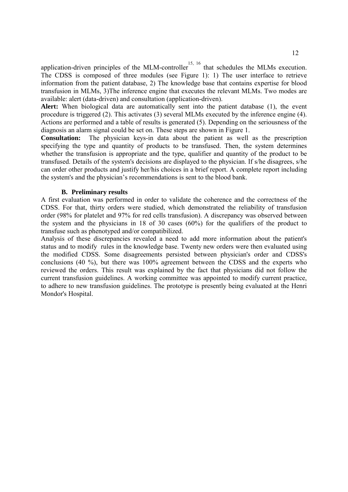application-driven principles of the MLM-controller<sup>15, 16</sup> that schedules the MLMs execution. The CDSS is composed of three modules (see Figure 1): 1) The user interface to retrieve information from the patient database, 2) The knowledge base that contains expertise for blood transfusion in MLMs, 3)The inference engine that executes the relevant MLMs. Two modes are available: alert (data-driven) and consultation (application-driven).

Alert: When biological data are automatically sent into the patient database (1), the event procedure is triggered (2). This activates (3) several MLMs executed by the inference engine (4). Actions are performed and a table of results is generated (5). Depending on the seriousness of the diagnosis an alarm signal could be set on. These steps are shown in Figure 1.

**Consultation:** The physician keys-in data about the patient as well as the prescription specifying the type and quantity of products to be transfused. Then, the system determines whether the transfusion is appropriate and the type, qualifier and quantity of the product to be transfused. Details of the system's decisions are displayed to the physician. If s/he disagrees, s/he can order other products and justify her/his choices in a brief report. A complete report including the system's and the physician's recommendations is sent to the blood bank.

#### **B. Preliminary results**

A first evaluation was performed in order to validate the coherence and the correctness of the CDSS. For that, thirty orders were studied, which demonstrated the reliability of transfusion order (98% for platelet and 97% for red cells transfusion). A discrepancy was observed between the system and the physicians in 18 of 30 cases (60%) for the qualifiers of the product to transfuse such as phenotyped and/or compatibilized.

Analysis of these discrepancies revealed a need to add more information about the patient's status and to modify rules in the knowledge base. Twenty new orders were then evaluated using the modified CDSS. Some disagreements persisted between physician's order and CDSS's conclusions (40 %), but there was 100% agreement between the CDSS and the experts who reviewed the orders. This result was explained by the fact that physicians did not follow the current transfusion guidelines. A working committee was appointed to modify current practice, to adhere to new transfusion guidelines. The prototype is presently being evaluated at the Henri Mondor's Hospital.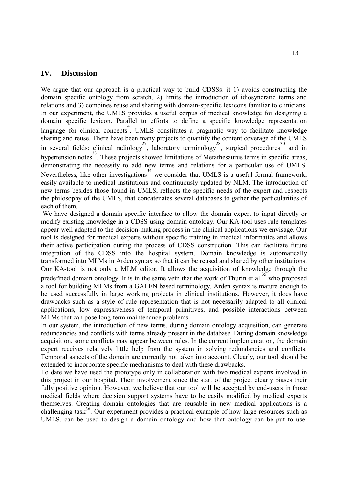## **IV. Discussion**

We argue that our approach is a practical way to build CDSSs: it 1) avoids constructing the domain specific ontology from scratch, 2) limits the introduction of idiosyncratic terms and relations and 3) combines reuse and sharing with domain-specific lexicons familiar to clinicians. In our experiment, the UMLS provides a useful corpus of medical knowledge for designing a domain specific lexicon. Parallel to efforts to define a specific knowledge representation language for clinical concepts, UMLS constitutes a pragmatic way to facilitate knowledge sharing and reuse. There have been many projects to quantify the content coverage of the UMLS in several fields: clinical radiology<sup>27</sup>, laboratory terminology<sup>28</sup>, surgical procedures<sup>30</sup> and in hypertension notes<sup>33</sup>. These projects showed limitations of Metathesaurus terms in specific areas, demonstrating the necessity to add new terms and relations for a particular use of UMLS. Nevertheless, like other investigations<sup>34</sup> we consider that UMLS is a useful formal framework, easily available to medical institutions and continuously updated by NLM. The introduction of new terms besides those found in UMLS, reflects the specific needs of the expert and respects the philosophy of the UMLS, that concatenates several databases to gather the particularities of each of them.

 We have designed a domain specific interface to allow the domain expert to input directly or modify existing knowledge in a CDSS using domain ontology. Our KA-tool uses rule templates appear well adapted to the decision-making process in the clinical applications we envisage. Our tool is designed for medical experts without specific training in medical informatics and allows their active participation during the process of CDSS construction. This can facilitate future integration of the CDSS into the hospital system. Domain knowledge is automatically transformed into MLMs in Arden syntax so that it can be reused and shared by other institutions. Our KA-tool is not only a MLM editor. It allows the acquisition of knowledge through the predefined domain ontology. It is in the same vein that the work of Thurin et al.  $\frac{35}{36}$  who proposed a tool for building MLMs from a GALEN based terminology. Arden syntax is mature enough to be used successfully in large working projects in clinical institutions. However, it does have drawbacks such as a style of rule representation that is not necessarily adapted to all clinical applications, low expressiveness of temporal primitives, and possible interactions between MLMs that can pose long-term maintenance problems.

In our system, the introduction of new terms, during domain ontology acquisition, can generate redundancies and conflicts with terms already present in the database. During domain knowledge acquisition, some conflicts may appear between rules. In the current implementation, the domain expert receives relatively little help from the system in solving redundancies and conflicts. Temporal aspects of the domain are currently not taken into account. Clearly, our tool should be extended to incorporate specific mechanisms to deal with these drawbacks.

To date we have used the prototype only in collaboration with two medical experts involved in this project in our hospital. Their involvement since the start of the project clearly biases their fully positive opinion. However, we believe that our tool will be accepted by end-users in those medical fields where decision support systems have to be easily modified by medical experts themselves. Creating domain ontologies that are reusable in new medical applications is a challenging task<sup>36</sup>. Our experiment provides a practical example of how large resources such as UMLS, can be used to design a domain ontology and how that ontology can be put to use.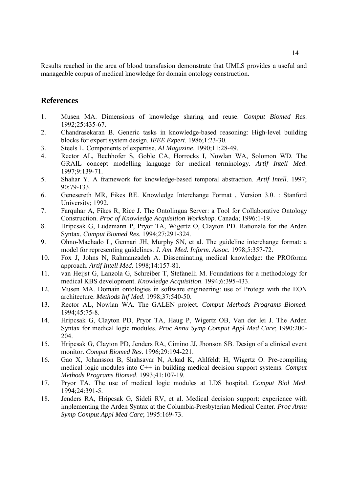Results reached in the area of blood transfusion demonstrate that UMLS provides a useful and manageable corpus of medical knowledge for domain ontology construction.

## **References**

- 1. Musen MA. Dimensions of knowledge sharing and reuse. *Comput Biomed Res*. 1992;25:435-67.
- 2. Chandrasekaran B. Generic tasks in knowledge-based reasoning: High-level building blocks for expert system design. *IEEE Expert*. 1986;1:23-30.
- 3. Steels L. Components of expertise. *AI Magazine*. 1990;11:28-49.
- 4. Rector AL, Bechhofer S, Goble CA, Horrocks I, Nowlan WA, Solomon WD. The GRAIL concept modelling language for medical terminology. *Artif Intell Med*. 1997;9:139-71.
- 5. Shahar Y. A framework for knowledge-based temporal abstraction. *Artif Intell*. 1997; 90:79-133.
- 6. Genesereth MR, Fikes RE. Knowledge Interchange Format , Version 3.0. : Stanford University; 1992.
- 7. Farquhar A, Fikes R, Rice J. The Ontolingua Server: a Tool for Collaborative Ontology Construction. *Proc of Knowledge Acquisition Workshop*. Canada; 1996:1-19.
- 8. Hripcsak G, Ludemann P, Pryor TA, Wigertz O, Clayton PD. Rationale for the Arden Syntax. *Comput Biomed Res*. 1994;27:291-324.
- 9. Ohno-Machado L, Gennari JH, Murphy SN, et al. The guideline interchange format: a model for representing guidelines. *J. Am. Med. Inform. Assoc.* 1998;5:357-72.
- 10. Fox J, Johns N, Rahmanzadeh A. Disseminating medical knowledge: the PROforma approach. *Artif Intell Med*. 1998;14:157-81.
- 11. van Heijst G, Lanzola G, Schreiber T, Stefanelli M. Foundations for a methodology for medical KBS development. *Knowledge Acquisition*. 1994;6:395-433.
- 12. Musen MA. Domain ontologies in software engineering: use of Protege with the EON architecture. *Methods Inf Med*. 1998;37:540-50.
- 13. Rector AL, Nowlan WA. The GALEN project. *Comput Methods Programs Biomed.* 1994;45:75-8.
- 14. Hripcsak G, Clayton PD, Pryor TA, Haug P, Wigertz OB, Van der lei J. The Arden Syntax for medical logic modules. *Proc Annu Symp Comput Appl Med Care*; 1990:200- 204.
- 15. Hripcsak G, Clayton PD, Jenders RA, Cimino JJ, Jhonson SB. Design of a clinical event monitor. *Comput Biomed Res*. 1996;29:194-221.
- 16. Gao X, Johansson B, Shahsavar N, Arkad K, Ahlfeldt H, Wigertz O. Pre-compiling medical logic modules into C++ in building medical decision support systems. *Comput Methods Programs Biomed*. 1993;41:107-19.
- 17. Pryor TA. The use of medical logic modules at LDS hospital. *Comput Biol Med*. 1994;24:391-5.
- 18. Jenders RA, Hripcsak G, Sideli RV, et al. Medical decision support: experience with implementing the Arden Syntax at the Columbia-Presbyterian Medical Center. *Proc Annu Symp Comput Appl Med Care*; 1995:169-73.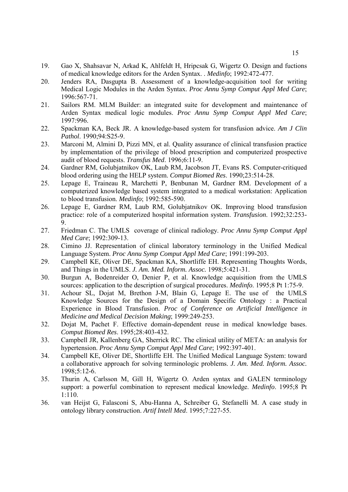- 19. Gao X, Shahsavar N, Arkad K, Ahlfeldt H, Hripcsak G, Wigertz O. Design and fuctions of medical knowledge editors for the Arden Syntax. . *Medinfo*; 1992:472-477.
- 20. Jenders RA, Dasgupta B. Assessment of a knowledge-acquisition tool for writing Medical Logic Modules in the Arden Syntax. *Proc Annu Symp Comput Appl Med Care*; 1996:567-71.
- 21. Sailors RM. MLM Builder: an integrated suite for development and maintenance of Arden Syntax medical logic modules. *Proc Annu Symp Comput Appl Med Care*; 1997:996.
- 22. Spackman KA, Beck JR. A knowledge-based system for transfusion advice. *Am J Clin Pathol*. 1990;94:S25-9.
- 23. Marconi M, Almini D, Pizzi MN, et al. Quality assurance of clinical transfusion practice by implementation of the privilege of blood prescription and computerized prospective audit of blood requests. *Transfus Med*. 1996;6:11-9.
- 24. Gardner RM, Golubjatnikov OK, Laub RM, Jacobson JT, Evans RS. Computer-critiqued blood ordering using the HELP system. *Comput Biomed Res*. 1990;23:514-28.
- 25. Lepage E, Traineau R, Marchetti P, Benbunan M, Gardner RM. Development of a computerized knowledge based system integrated to a medical workstation: Application to blood transfusion. *Medinfo*; 1992:585-590.
- 26. Lepage E, Gardner RM, Laub RM, Golubjatnikov OK. Improving blood transfusion practice: role of a computerized hospital information system. *Transfusion*. 1992;32:253- 9.
- 27. Friedman C. The UMLS coverage of clinical radiology. *Proc Annu Symp Comput Appl Med Care*; 1992:309-13.
- 28. Cimino JJ. Representation of clinical laboratory terminology in the Unified Medical Language System. *Proc Annu Symp Comput Appl Med Care*; 1991:199-203.
- 29. Campbell KE, Oliver DE, Spackman KA, Shortliffe EH. Representing Thoughts Words, and Things in the UMLS. *J. Am. Med. Inform. Assoc.* 1998;5:421-31.
- 30. Burgun A, Bodenreider O, Denier P, et al. Knowledge acquisition from the UMLS sources: application to the description of surgical procedures. *Medinfo*. 1995;8 Pt 1:75-9.
- 31. Achour SL, Dojat M, Brethon J-M, Blain G, Lepage E. The use of the UMLS Knowledge Sources for the Design of a Domain Specific Ontology : a Practical Experience in Blood Transfusion. *Proc of Conference on Artificial Intelligence in Medicine and Medical Decision Making*; 1999:249-253.
- 32. Dojat M, Pachet F. Effective domain-dependent reuse in medical knowledge bases. *Comput Biomed Res*. 1995;28:403-432.
- 33. Campbell JR, Kallenberg GA, Sherrick RC. The clinical utility of META: an analysis for hypertension. *Proc Annu Symp Comput Appl Med Care*; 1992:397-401.
- 34. Campbell KE, Oliver DE, Shortliffe EH. The Unified Medical Language System: toward a collaborative approach for solving terminologic problems. *J. Am. Med. Inform. Assoc.* 1998;5:12-6.
- 35. Thurin A, Carlsson M, Gill H, Wigertz O. Arden syntax and GALEN terminology support: a powerful combination to represent medical knowledge. *Medinfo*. 1995;8 Pt 1:110.
- 36. van Heijst G, Falasconi S, Abu-Hanna A, Schreiber G, Stefanelli M. A case study in ontology library construction. *Artif Intell Med*. 1995;7:227-55.